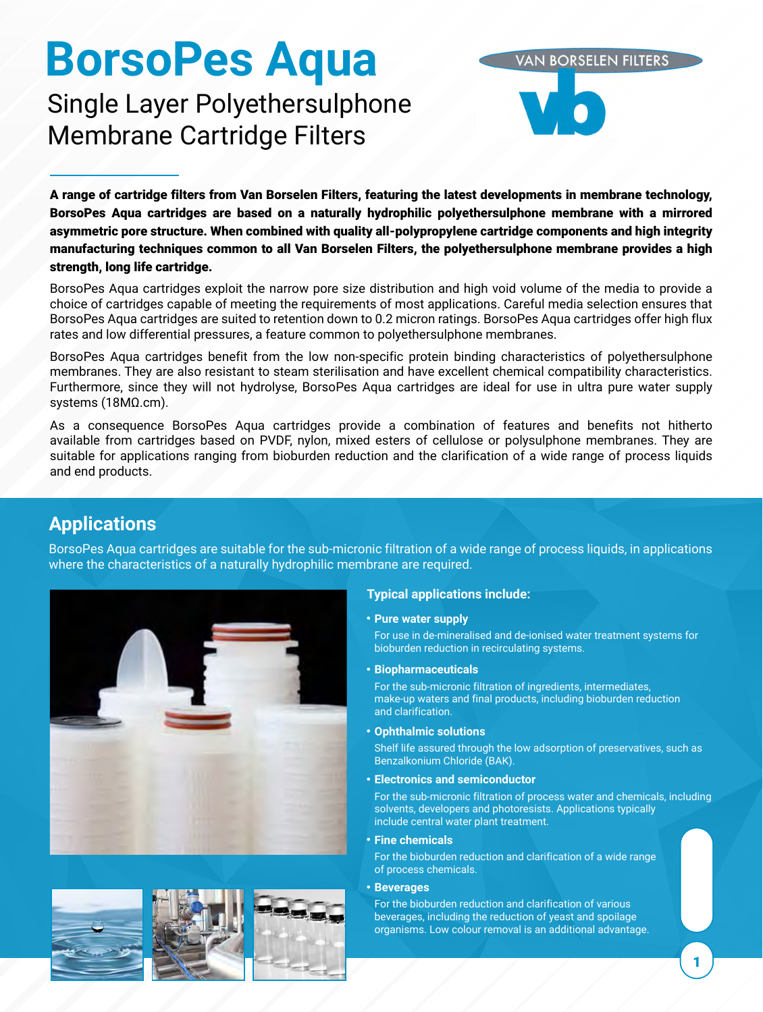# **BorsoPes Aqua**

# Single Layer Polyethersulphone Membrane Cartridge Filters

A range of cartridge filters from Van Borselen Filters, featuring the latest developments in membrane technology, BorsoPes Aqua cartridges are based on a naturally hydrophilic polyethersulphone membrane with a mirrored asymmetric pore structure. When combined with quality all-polypropylene cartridge components and high integrity manufacturing techniques common to all Van Borselen Filters, the polyethersulphone membrane provides a high strength, long life cartridge.

BorsoPes Aqua cartridges exploit the narrow pore size distribution and high void volume of the media to provide a choice of cartridges capable of meeting the requirements of most applications. Careful media selection ensures that BorsoPes Aqua cartridges are suited to retention down to 0.2 micron ratings. BorsoPes Aqua cartridges offer high flux rates and low differential pressures, a feature common to polyethersulphone membranes.

BorsoPes Aqua cartridges benefit from the low non-specific protein binding characteristics of polyethersulphone membranes. They are also resistant to steam sterilisation and have excellent chemical compatibility characteristics. Furthermore, since they will not hydrolyse, BorsoPes Aqua cartridges are ideal for use in ultra pure water supply systems (18MΩ.cm).

As a consequence BorsoPes Aqua cartridges provide a combination of features and benefits not hitherto available from cartridges based on PVDF, nylon, mixed esters of cellulose or polysulphone membranes. They are suitable for applications ranging from bioburden reduction and the clarification of a wide range of process liquids and end products.

# **Applications**

BorsoPes Aqua cartridges are suitable for the sub-micronic filtration of a wide range of process liquids, in applications where the characteristics of a naturally hydrophilic membrane are required.





### **Typical applications include:**

#### **Pure water supply**

For use in de-mineralised and de-ionised water treatment systems for bioburden reduction in recirculating systems.

**VAN BORSELEN FILTERS** 

**Biopharmaceuticals**

For the sub-micronic filtration of ingredients, intermediates, make-up waters and final products, including bioburden reduction and clarification.

**Ophthalmic solutions**

Shelf life assured through the low adsorption of preservatives, such as Benzalkonium Chloride (BAK).

**Electronics and semiconductor**

For the sub-micronic filtration of process water and chemicals, including solvents, developers and photoresists. Applications typically include central water plant treatment.

**Fine chemicals**

For the bioburden reduction and clarification of a wide range of process chemicals.

#### **Beverages**

For the bioburden reduction and clarification of various beverages, including the reduction of yeast and spoilage organisms. Low colour removal is an additional advantage.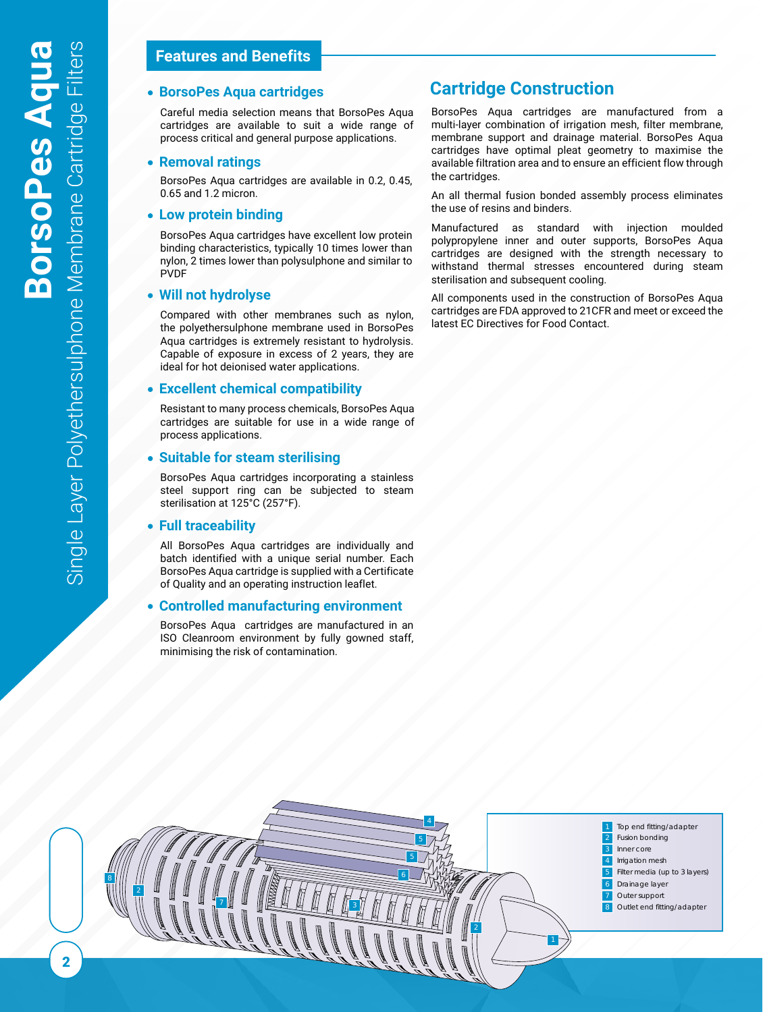## **Features and Benefits**

Careful media selection means that BorsoPes Aqua cartridges are available to suit a wide range of process critical and general purpose applications.

#### **Removal ratings**

BorsoPes Aqua cartridges are available in 0.2, 0.45, 0.65 and 1.2 micron.

#### **Low protein binding**

BorsoPes Aqua cartridges have excellent low protein binding characteristics, typically 10 times lower than nylon, 2 times lower than polysulphone and similar to PVDF

#### **Will not hydrolyse**

Compared with other membranes such as nylon, the polyethersulphone membrane used in BorsoPes Aqua cartridges is extremely resistant to hydrolysis. Capable of exposure in excess of 2 years, they are ideal for hot deionised water applications.

#### **Excellent chemical compatibility**

Resistant to many process chemicals, BorsoPes Aqua cartridges are suitable for use in a wide range of process applications.

#### **Suitable for steam sterilising**

BorsoPes Aqua cartridges incorporating a stainless steel support ring can be subjected to steam sterilisation at 125°C (257°F).

#### **Full traceability**

All BorsoPes Aqua cartridges are individually and batch identified with a unique serial number. Each BorsoPes Aqua cartridge is supplied with a Certificate of Quality and an operating instruction leaflet.

#### **Controlled manufacturing environment**

BorsoPes Aqua cartridges are manufactured in an ISO Cleanroom environment by fully gowned staff, minimising the risk of contamination.

## **BorsoPes Aqua cartridges Cartridge Construction**

BorsoPes Aqua cartridges are manufactured from a multi-layer combination of irrigation mesh, filter membrane, membrane support and drainage material. BorsoPes Aqua cartridges have optimal pleat geometry to maximise the available filtration area and to ensure an efficient flow through the cartridges.

An all thermal fusion bonded assembly process eliminates the use of resins and binders.

Manufactured as standard with injection moulded polypropylene inner and outer supports, BorsoPes Aqua cartridges are designed with the strength necessary to withstand thermal stresses encountered during steam sterilisation and subsequent cooling.

All components used in the construction of BorsoPes Aqua cartridges are FDA approved to 21CFR and meet or exceed the latest EC Directives for Food Contact.

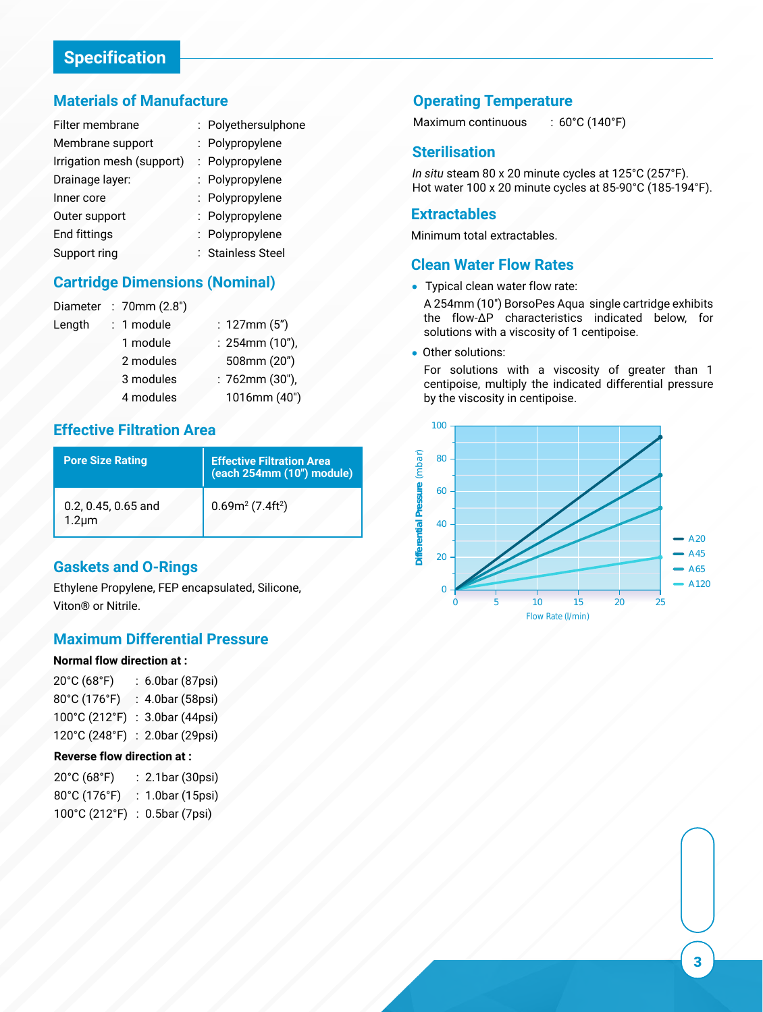# **Specification**

## **Materials of Manufacture**

| Filter membrane           | : Polyethersulphone |
|---------------------------|---------------------|
| Membrane support          | : Polypropylene     |
| Irrigation mesh (support) | : Polypropylene     |
| Drainage layer:           | : Polypropylene     |
| Inner core                | : Polypropylene     |
| Outer support             | : Polypropylene     |
| <b>End fittings</b>       | : Polypropylene     |
| Support ring              | : Stainless Steel   |

## **Cartridge Dimensions (Nominal)**

| Diameter | : 70mm $(2.8")$ |                      |
|----------|-----------------|----------------------|
| Length   | : 1 module      | : $127mm(5")$        |
|          | 1 module        | $: 254$ mm $(10")$ , |
|          | 2 modules       | 508mm (20")          |
|          | 3 modules       | $: 762mm(30")$ ,     |
|          | 4 modules       | 1016mm (40")         |
|          |                 |                      |

## **Effective Filtration Area** 600

| <b>Pore Size Rating</b>            | <b>Effective Filtration Area</b><br>(each 254mm (10") module) |
|------------------------------------|---------------------------------------------------------------|
| 0.2, 0.45, 0.65 and<br>$1.2 \mu m$ | $0.69m^2(7.4ft^2)$                                            |
|                                    |                                                               |

## **Gaskets and O-Rings**

Ethylene Propylene, FEP encapsulated, Silicone, 0 Viton® or Nitrile.

## **Maximum Differential Pressure**

#### **Normal flow direction at :**

| 20°C (68°F)   | : 6.0bar (87psi) |
|---------------|------------------|
| 80°C (176°F)  | : 4.0bar (58psi) |
| 100°C (212°F) | : 3.0bar (44psi) |
| 120°C (248°F) | : 2.0bar (29psi) |

#### **Reverse flow direction at :**

| 20°C (68°F)   | : 2.1bar (30psi) |
|---------------|------------------|
| 80°C (176°F)  | : 1.0bar (15psi) |
| 100°C (212°F) | : 0.5bar (7psi)  |

## **Operating Temperature**

Maximum continuous : 60°C (140°F)

### **Sterilisation**

*In situ* steam 80 x 20 minute cycles at 125°C (257°F). Hot water 100 x 20 minute cycles at 85-90°C (185-194°F).

#### **Extractables**

Minimum total extractables.

### **Clean Water Flow Rates**

• Typical clean water flow rate:

A 254mm (10") BorsoPes Aqua single cartridge exhibits the flow-∆P characteristics indicated below, for solutions with a viscosity of 1 centipoise.

Other solutions:  $\bullet$ 

> For solutions with a viscosity of greater than 1 centipoise, multiply the indicated differential pressure by the viscosity in centipoise.